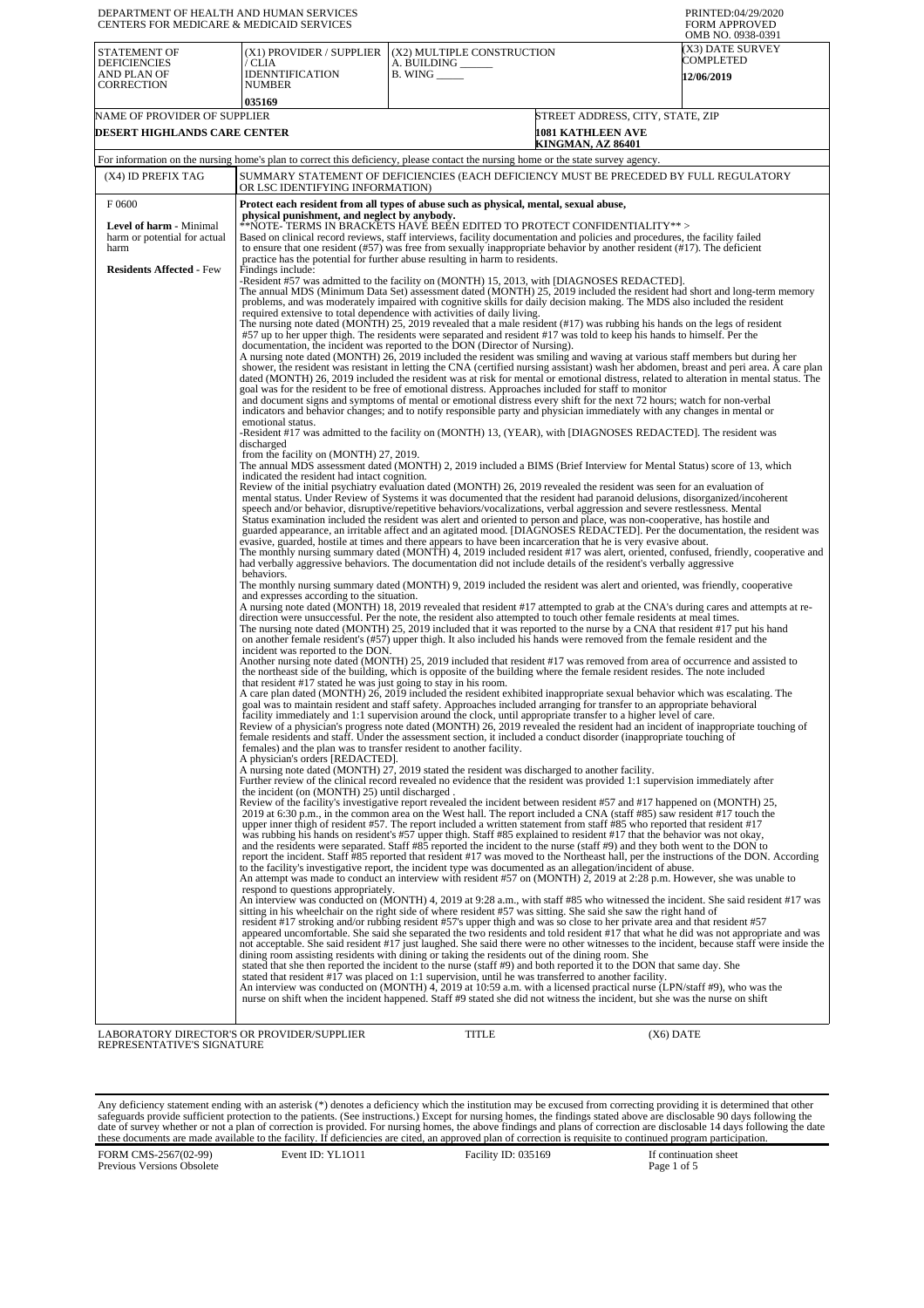| DEPARTMENT OF HEALTH AND HUMAN SERVICES<br>CENTERS FOR MEDICARE & MEDICAID SERVICES |                                                                                                                                                                                                                                                       |                                                                                                                                                                                                                                                       | PRINTED:04/29/2020<br><b>FORM APPROVED</b>                                                                                                                                                                                                                                        |  |  |
|-------------------------------------------------------------------------------------|-------------------------------------------------------------------------------------------------------------------------------------------------------------------------------------------------------------------------------------------------------|-------------------------------------------------------------------------------------------------------------------------------------------------------------------------------------------------------------------------------------------------------|-----------------------------------------------------------------------------------------------------------------------------------------------------------------------------------------------------------------------------------------------------------------------------------|--|--|
|                                                                                     |                                                                                                                                                                                                                                                       |                                                                                                                                                                                                                                                       | OMB NO. 0938-0391<br>(X3) DATE SURVEY                                                                                                                                                                                                                                             |  |  |
| STATEMENT OF<br><b>DEFICIENCIES</b>                                                 | (X1) PROVIDER / SUPPLIER<br>/ CLIA                                                                                                                                                                                                                    | (X2) MULTIPLE CONSTRUCTION<br>A. BUILDING __                                                                                                                                                                                                          | COMPLETED                                                                                                                                                                                                                                                                         |  |  |
| AND PLAN OF                                                                         | <b>IDENNTIFICATION</b>                                                                                                                                                                                                                                | $B.$ WING $\_\_\_\_\_\_\_\$                                                                                                                                                                                                                           | <b>12/06/2019</b>                                                                                                                                                                                                                                                                 |  |  |
| CORRECTION                                                                          | NUMBER                                                                                                                                                                                                                                                |                                                                                                                                                                                                                                                       |                                                                                                                                                                                                                                                                                   |  |  |
|                                                                                     | 035169                                                                                                                                                                                                                                                |                                                                                                                                                                                                                                                       |                                                                                                                                                                                                                                                                                   |  |  |
| NAME OF PROVIDER OF SUPPLIER                                                        |                                                                                                                                                                                                                                                       |                                                                                                                                                                                                                                                       | STREET ADDRESS, CITY, STATE, ZIP                                                                                                                                                                                                                                                  |  |  |
| DESERT HIGHLANDS CARE CENTER                                                        |                                                                                                                                                                                                                                                       | 1081 KATHLEEN AVE                                                                                                                                                                                                                                     |                                                                                                                                                                                                                                                                                   |  |  |
|                                                                                     |                                                                                                                                                                                                                                                       | KINGMAN, AZ 86401                                                                                                                                                                                                                                     |                                                                                                                                                                                                                                                                                   |  |  |
|                                                                                     |                                                                                                                                                                                                                                                       | For information on the nursing home's plan to correct this deficiency, please contact the nursing home or the state survey agency.                                                                                                                    |                                                                                                                                                                                                                                                                                   |  |  |
| (X4) ID PREFIX TAG                                                                  | OR LSC IDENTIFYING INFORMATION)                                                                                                                                                                                                                       | SUMMARY STATEMENT OF DEFICIENCIES (EACH DEFICIENCY MUST BE PRECEDED BY FULL REGULATORY                                                                                                                                                                |                                                                                                                                                                                                                                                                                   |  |  |
| F0600                                                                               |                                                                                                                                                                                                                                                       | Protect each resident from all types of abuse such as physical, mental, sexual abuse,                                                                                                                                                                 |                                                                                                                                                                                                                                                                                   |  |  |
|                                                                                     | physical punishment, and neglect by anybody.                                                                                                                                                                                                          |                                                                                                                                                                                                                                                       |                                                                                                                                                                                                                                                                                   |  |  |
| Level of harm - Minimal<br>harm or potential for actual                             |                                                                                                                                                                                                                                                       | **NOTE- TERMS IN BRACKETS HAVE BEEN EDITED TO PROTECT CONFIDENTIALITY**><br>Based on clinical record reviews, staff interviews, facility documentation and policies and procedures, the facility failed                                               |                                                                                                                                                                                                                                                                                   |  |  |
| harm                                                                                |                                                                                                                                                                                                                                                       | to ensure that one resident $(\#57)$ was free from sexually inappropriate behavior by another resident $(\#17)$ . The deficient                                                                                                                       |                                                                                                                                                                                                                                                                                   |  |  |
| <b>Residents Affected - Few</b>                                                     | Findings include:                                                                                                                                                                                                                                     | practice has the potential for further abuse resulting in harm to residents.                                                                                                                                                                          |                                                                                                                                                                                                                                                                                   |  |  |
|                                                                                     |                                                                                                                                                                                                                                                       | -Resident #57 was admitted to the facility on (MONTH) 15, 2013, with [DIAGNOSES REDACTED].                                                                                                                                                            |                                                                                                                                                                                                                                                                                   |  |  |
|                                                                                     |                                                                                                                                                                                                                                                       |                                                                                                                                                                                                                                                       | The annual MDS (Minimum Data Set) assessment dated (MONTH) 25, 2019 included the resident had short and long-term memory                                                                                                                                                          |  |  |
|                                                                                     |                                                                                                                                                                                                                                                       | problems, and was moderately impaired with cognitive skills for daily decision making. The MDS also included the resident<br>required extensive to total dependence with activities of daily living.                                                  |                                                                                                                                                                                                                                                                                   |  |  |
|                                                                                     |                                                                                                                                                                                                                                                       | The nursing note dated (MONTH) 25, 2019 revealed that a male resident $(\#17)$ was rubbing his hands on the legs of resident                                                                                                                          |                                                                                                                                                                                                                                                                                   |  |  |
|                                                                                     |                                                                                                                                                                                                                                                       | #57 up to her upper thigh. The residents were separated and resident #17 was told to keep his hands to himself. Per the<br>documentation, the incident was reported to the DON (Director of Nursing).                                                 |                                                                                                                                                                                                                                                                                   |  |  |
|                                                                                     |                                                                                                                                                                                                                                                       | A nursing note dated (MONTH) 26, 2019 included the resident was smiling and waving at various staff members but during her                                                                                                                            |                                                                                                                                                                                                                                                                                   |  |  |
|                                                                                     |                                                                                                                                                                                                                                                       |                                                                                                                                                                                                                                                       | shower, the resident was resistant in letting the CNA (certified nursing assistant) wash her abdomen, breast and peri area. A care plan<br>dated (MONTH) 26, 2019 included the resident was at risk for mental or emotional distress, related to alteration in mental status. The |  |  |
|                                                                                     |                                                                                                                                                                                                                                                       | goal was for the resident to be free of emotional distress. Approaches included for staff to monitor                                                                                                                                                  |                                                                                                                                                                                                                                                                                   |  |  |
|                                                                                     |                                                                                                                                                                                                                                                       | and document signs and symptoms of mental or emotional distress every shift for the next 72 hours; watch for non-verbal<br>indicators and behavior changes; and to notify responsible party and physician immediately with any changes in mental or   |                                                                                                                                                                                                                                                                                   |  |  |
|                                                                                     | emotional status.                                                                                                                                                                                                                                     |                                                                                                                                                                                                                                                       |                                                                                                                                                                                                                                                                                   |  |  |
|                                                                                     |                                                                                                                                                                                                                                                       | -Resident #17 was admitted to the facility on (MONTH) 13, (YEAR), with [DIAGNOSES REDACTED]. The resident was                                                                                                                                         |                                                                                                                                                                                                                                                                                   |  |  |
|                                                                                     | discharged<br>from the facility on (MONTH) 27, 2019.                                                                                                                                                                                                  |                                                                                                                                                                                                                                                       |                                                                                                                                                                                                                                                                                   |  |  |
|                                                                                     |                                                                                                                                                                                                                                                       | The annual MDS assessment dated (MONTH) 2, 2019 included a BIMS (Brief Interview for Mental Status) score of 13, which                                                                                                                                |                                                                                                                                                                                                                                                                                   |  |  |
|                                                                                     | indicated the resident had intact cognition.<br>Review of the initial psychiatry evaluation dated (MONTH) 26, 2019 revealed the resident was seen for an evaluation of                                                                                |                                                                                                                                                                                                                                                       |                                                                                                                                                                                                                                                                                   |  |  |
|                                                                                     |                                                                                                                                                                                                                                                       | mental status. Under Review of Systems it was documented that the resident had paranoid delusions, disorganized/incoherent                                                                                                                            |                                                                                                                                                                                                                                                                                   |  |  |
|                                                                                     |                                                                                                                                                                                                                                                       | speech and/or behavior, disruptive/repetitive behaviors/vocalizations, verbal aggression and severe restlessness. Mental<br>Status examination included the resident was alert and oriented to person and place, was non-cooperative, has hostile and |                                                                                                                                                                                                                                                                                   |  |  |
|                                                                                     |                                                                                                                                                                                                                                                       |                                                                                                                                                                                                                                                       | guarded appearance, an irritable affect and an agitated mood. [DIAGNOSES REDACTED]. Per the documentation, the resident was                                                                                                                                                       |  |  |
|                                                                                     |                                                                                                                                                                                                                                                       | evasive, guarded, hostile at times and there appears to have been incarceration that he is very evasive about.                                                                                                                                        | The monthly nursing summary dated (MONTH) 4, 2019 included resident #17 was alert, oriented, confused, friendly, cooperative and                                                                                                                                                  |  |  |
|                                                                                     |                                                                                                                                                                                                                                                       | had verbally aggressive behaviors. The documentation did not include details of the resident's verbally aggressive                                                                                                                                    |                                                                                                                                                                                                                                                                                   |  |  |
|                                                                                     | behaviors.                                                                                                                                                                                                                                            | The monthly nursing summary dated (MONTH) 9, 2019 included the resident was alert and oriented, was friendly, cooperative                                                                                                                             |                                                                                                                                                                                                                                                                                   |  |  |
|                                                                                     | and expresses according to the situation.                                                                                                                                                                                                             |                                                                                                                                                                                                                                                       |                                                                                                                                                                                                                                                                                   |  |  |
|                                                                                     |                                                                                                                                                                                                                                                       | direction were unsuccessful. Per the note, the resident also attempted to touch other female residents at meal times.                                                                                                                                 | A nursing note dated (MONTH) 18, 2019 revealed that resident #17 attempted to grab at the CNA's during cares and attempts at re-                                                                                                                                                  |  |  |
|                                                                                     |                                                                                                                                                                                                                                                       | The nursing note dated (MONTH) 25, 2019 included that it was reported to the nurse by a CNA that resident #17 put his hand                                                                                                                            |                                                                                                                                                                                                                                                                                   |  |  |
|                                                                                     |                                                                                                                                                                                                                                                       | on another female resident's (#57) upper thigh. It also included his hands were removed from the female resident and the                                                                                                                              |                                                                                                                                                                                                                                                                                   |  |  |
|                                                                                     | incident was reported to the DON.                                                                                                                                                                                                                     | Another nursing note dated (MONTH) 25, 2019 included that resident #17 was removed from area of occurrence and assisted to                                                                                                                            |                                                                                                                                                                                                                                                                                   |  |  |
|                                                                                     |                                                                                                                                                                                                                                                       | the northeast side of the building, which is opposite of the building where the female resident resides. The note included                                                                                                                            |                                                                                                                                                                                                                                                                                   |  |  |
|                                                                                     | that resident #17 stated he was just going to stay in his room.                                                                                                                                                                                       | A care plan dated (MONTH) 26, 2019 included the resident exhibited inappropriate sexual behavior which was escalating. The                                                                                                                            |                                                                                                                                                                                                                                                                                   |  |  |
|                                                                                     |                                                                                                                                                                                                                                                       | goal was to maintain resident and staff safety. Approaches included arranging for transfer to an appropriate behavioral                                                                                                                               |                                                                                                                                                                                                                                                                                   |  |  |
|                                                                                     |                                                                                                                                                                                                                                                       | facility immediately and 1:1 supervision around the clock, until appropriate transfer to a higher level of care.                                                                                                                                      | Review of a physician's progress note dated (MONTH) 26, 2019 revealed the resident had an incident of inappropriate touching of                                                                                                                                                   |  |  |
|                                                                                     |                                                                                                                                                                                                                                                       | female residents and staff. Under the assessment section, it included a conduct disorder (inappropriate touching of                                                                                                                                   |                                                                                                                                                                                                                                                                                   |  |  |
|                                                                                     | females) and the plan was to transfer resident to another facility.<br>A physician's orders [REDACTED].                                                                                                                                               |                                                                                                                                                                                                                                                       |                                                                                                                                                                                                                                                                                   |  |  |
|                                                                                     |                                                                                                                                                                                                                                                       | A nursing note dated (MONTH) 27, 2019 stated the resident was discharged to another facility.                                                                                                                                                         |                                                                                                                                                                                                                                                                                   |  |  |
|                                                                                     | Further review of the clinical record revealed no evidence that the resident was provided 1:1 supervision immediately after                                                                                                                           |                                                                                                                                                                                                                                                       |                                                                                                                                                                                                                                                                                   |  |  |
|                                                                                     | the incident (on (MONTH) 25) until discharged.<br>Review of the facility's investigative report revealed the incident between resident #57 and #17 happened on (MONTH) 25,                                                                            |                                                                                                                                                                                                                                                       |                                                                                                                                                                                                                                                                                   |  |  |
|                                                                                     |                                                                                                                                                                                                                                                       | 2019 at 6:30 p.m., in the common area on the West hall. The report included a CNA (staff #85) saw resident #17 touch the<br>upper inner thigh of resident #57. The report included a written statement from staff #85 who reported that resident #17  |                                                                                                                                                                                                                                                                                   |  |  |
|                                                                                     |                                                                                                                                                                                                                                                       | was rubbing his hands on resident's #57 upper thigh. Staff #85 explained to resident #17 that the behavior was not okay,                                                                                                                              |                                                                                                                                                                                                                                                                                   |  |  |
|                                                                                     |                                                                                                                                                                                                                                                       | and the residents were separated. Staff #85 reported the incident to the nurse (staff #9) and they both went to the DON to                                                                                                                            |                                                                                                                                                                                                                                                                                   |  |  |
|                                                                                     | report the incident. Staff #85 reported that resident #17 was moved to the Northeast hall, per the instructions of the DON. According<br>to the facility's investigative report, the incident type was documented as an allegation/incident of abuse. |                                                                                                                                                                                                                                                       |                                                                                                                                                                                                                                                                                   |  |  |
|                                                                                     | An attempt was made to conduct an interview with resident #57 on (MONTH) 2, 2019 at 2:28 p.m. However, she was unable to                                                                                                                              |                                                                                                                                                                                                                                                       |                                                                                                                                                                                                                                                                                   |  |  |
|                                                                                     | respond to questions appropriately.                                                                                                                                                                                                                   |                                                                                                                                                                                                                                                       | An interview was conducted on (MONTH) 4, 2019 at 9:28 a.m., with staff #85 who witnessed the incident. She said resident #17 was                                                                                                                                                  |  |  |
|                                                                                     |                                                                                                                                                                                                                                                       | sitting in his wheelchair on the right side of where resident #57 was sitting. She said she saw the right hand of                                                                                                                                     |                                                                                                                                                                                                                                                                                   |  |  |
|                                                                                     |                                                                                                                                                                                                                                                       | resident #17 stroking and/or rubbing resident #57's upper thigh and was so close to her private area and that resident #57                                                                                                                            | appeared uncomfortable. She said she separated the two residents and told resident #17 that what he did was not appropriate and was                                                                                                                                               |  |  |
|                                                                                     |                                                                                                                                                                                                                                                       |                                                                                                                                                                                                                                                       | not acceptable. She said resident #17 just laughed. She said there were no other witnesses to the incident, because staff were inside the                                                                                                                                         |  |  |
|                                                                                     |                                                                                                                                                                                                                                                       | dining room assisting residents with dining or taking the residents out of the dining room. She                                                                                                                                                       |                                                                                                                                                                                                                                                                                   |  |  |
|                                                                                     |                                                                                                                                                                                                                                                       | stated that she then reported the incident to the nurse (staff #9) and both reported it to the DON that same day. She<br>stated that resident #17 was placed on 1:1 supervision, until he was transferred to another facility.                        |                                                                                                                                                                                                                                                                                   |  |  |
|                                                                                     |                                                                                                                                                                                                                                                       | An interview was conducted on (MONTH) 4, 2019 at 10:59 a.m. with a licensed practical nurse (LPN/staff #9), who was the                                                                                                                               |                                                                                                                                                                                                                                                                                   |  |  |
|                                                                                     |                                                                                                                                                                                                                                                       | nurse on shift when the incident happened. Staff #9 stated she did not witness the incident, but she was the nurse on shift                                                                                                                           |                                                                                                                                                                                                                                                                                   |  |  |
|                                                                                     |                                                                                                                                                                                                                                                       |                                                                                                                                                                                                                                                       |                                                                                                                                                                                                                                                                                   |  |  |
| LABORATORY DIRECTOR'S OR PROVIDER/SUPPLIER                                          |                                                                                                                                                                                                                                                       | TITLE                                                                                                                                                                                                                                                 | $(X6)$ DATE                                                                                                                                                                                                                                                                       |  |  |

LABORATORY DIRECTOR'S OR PROVIDER/SUPPLIER REPRESENTATIVE'S SIGNATURE

 $(X6)$ 

Any deficiency statement ending with an asterisk (\*) denotes a deficiency which the institution may be excused from correcting providing it is determined that other safeguards provide sufficient protection to the patients.

FORM CMS-2567(02-99) Previous Versions Obsolete

Event ID: YL1O11 Facility ID: 035169 If continuation sheet<br>Page 1 of 5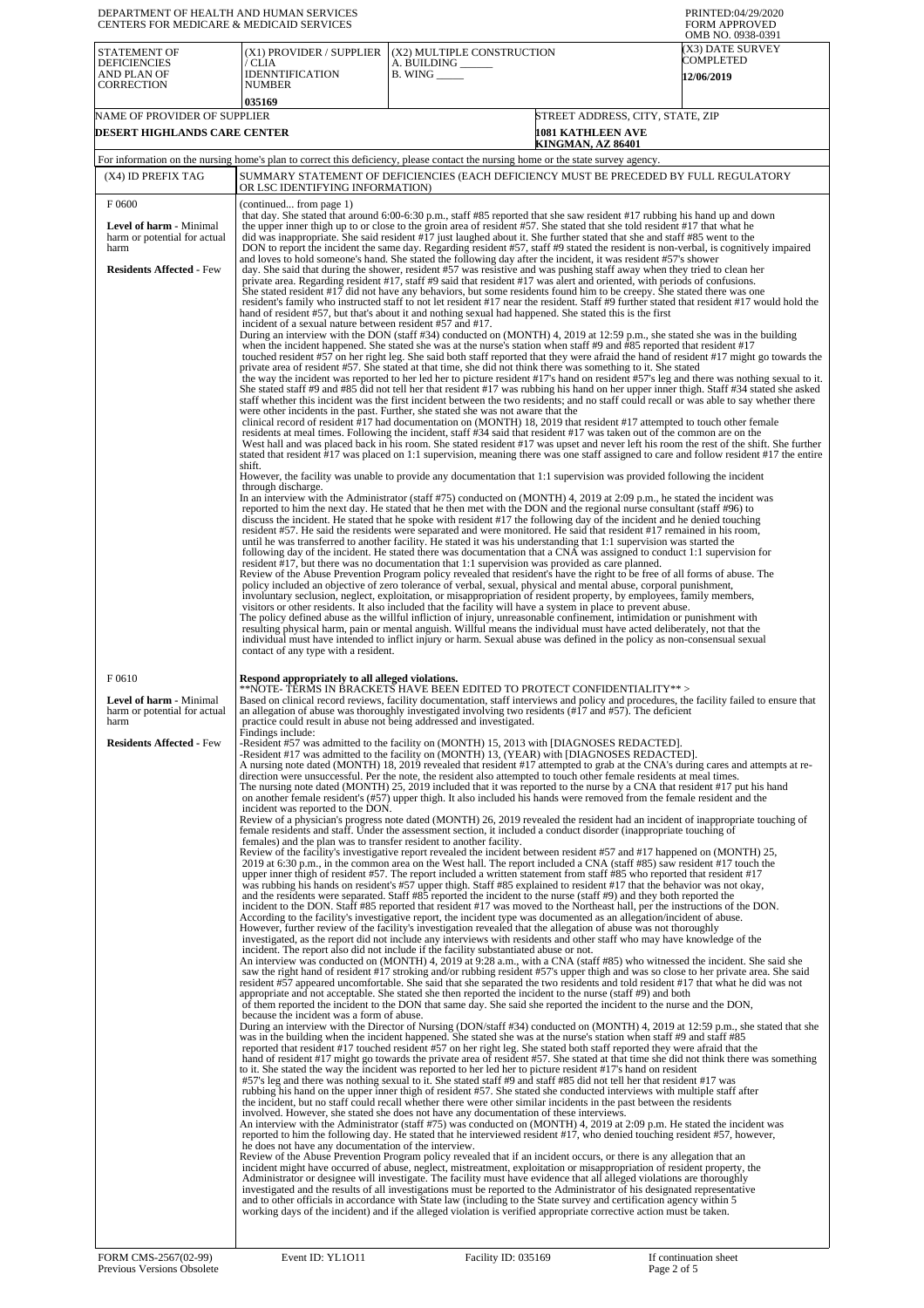| DEPARTMENT OF HEALTH AND HUMAN SERVICES<br>CENTERS FOR MEDICARE & MEDICAID SERVICES                                |                                                                                                                                                                            |                                                                                                                                                                                                                                                                                                                                                                                                                                                                                                                                                                                                                                                                                                                                                                                                                                                                                                                                                                                                                                                                                                                                                                                                                                                                                                                                                                                                                                                                                                                                                                                                                                                                                                                                                                                                                                                                                                                                                                                                                                                                                                                                                                                                                                                                                                                                                                                                                                                                                                                                                                                                                                                                                                                                                                                                                                                             | PRINTED:04/29/2020<br>FORM APPROVED<br>OMB NO. 0938-0391                                                                                                                                                                                                                                                                                                                                                                                                                                                                                                                                                                                                                                                                                                                                                                                                                                                                                                                                                                                                                                                 |
|--------------------------------------------------------------------------------------------------------------------|----------------------------------------------------------------------------------------------------------------------------------------------------------------------------|-------------------------------------------------------------------------------------------------------------------------------------------------------------------------------------------------------------------------------------------------------------------------------------------------------------------------------------------------------------------------------------------------------------------------------------------------------------------------------------------------------------------------------------------------------------------------------------------------------------------------------------------------------------------------------------------------------------------------------------------------------------------------------------------------------------------------------------------------------------------------------------------------------------------------------------------------------------------------------------------------------------------------------------------------------------------------------------------------------------------------------------------------------------------------------------------------------------------------------------------------------------------------------------------------------------------------------------------------------------------------------------------------------------------------------------------------------------------------------------------------------------------------------------------------------------------------------------------------------------------------------------------------------------------------------------------------------------------------------------------------------------------------------------------------------------------------------------------------------------------------------------------------------------------------------------------------------------------------------------------------------------------------------------------------------------------------------------------------------------------------------------------------------------------------------------------------------------------------------------------------------------------------------------------------------------------------------------------------------------------------------------------------------------------------------------------------------------------------------------------------------------------------------------------------------------------------------------------------------------------------------------------------------------------------------------------------------------------------------------------------------------------------------------------------------------------------------------------------------------|----------------------------------------------------------------------------------------------------------------------------------------------------------------------------------------------------------------------------------------------------------------------------------------------------------------------------------------------------------------------------------------------------------------------------------------------------------------------------------------------------------------------------------------------------------------------------------------------------------------------------------------------------------------------------------------------------------------------------------------------------------------------------------------------------------------------------------------------------------------------------------------------------------------------------------------------------------------------------------------------------------------------------------------------------------------------------------------------------------|
| STATEMENT OF<br><b>DEFICIENCIES</b><br>AND PLAN OF<br><b>CORRECTION</b>                                            | (X1) PROVIDER / SUPPLIER<br>/ CLIA<br><b>IDENNTIFICATION</b><br><b>NUMBER</b><br>035169                                                                                    | (X2) MULTIPLE CONSTRUCTION<br>A. BUILDING _<br>$B.$ WING $\_\_\_\_\_\_\_\$                                                                                                                                                                                                                                                                                                                                                                                                                                                                                                                                                                                                                                                                                                                                                                                                                                                                                                                                                                                                                                                                                                                                                                                                                                                                                                                                                                                                                                                                                                                                                                                                                                                                                                                                                                                                                                                                                                                                                                                                                                                                                                                                                                                                                                                                                                                                                                                                                                                                                                                                                                                                                                                                                                                                                                                  | (X3) DATE SURVEY<br>COMPLETED<br><b>12/06/2019</b>                                                                                                                                                                                                                                                                                                                                                                                                                                                                                                                                                                                                                                                                                                                                                                                                                                                                                                                                                                                                                                                       |
| NAME OF PROVIDER OF SUPPLIER<br>DESERT HIGHLANDS CARE CENTER                                                       |                                                                                                                                                                            |                                                                                                                                                                                                                                                                                                                                                                                                                                                                                                                                                                                                                                                                                                                                                                                                                                                                                                                                                                                                                                                                                                                                                                                                                                                                                                                                                                                                                                                                                                                                                                                                                                                                                                                                                                                                                                                                                                                                                                                                                                                                                                                                                                                                                                                                                                                                                                                                                                                                                                                                                                                                                                                                                                                                                                                                                                                             | STREET ADDRESS, CITY, STATE, ZIP<br>1081 KATHLEEN AVE                                                                                                                                                                                                                                                                                                                                                                                                                                                                                                                                                                                                                                                                                                                                                                                                                                                                                                                                                                                                                                                    |
|                                                                                                                    |                                                                                                                                                                            | <b>KINGMAN, AZ 86401</b>                                                                                                                                                                                                                                                                                                                                                                                                                                                                                                                                                                                                                                                                                                                                                                                                                                                                                                                                                                                                                                                                                                                                                                                                                                                                                                                                                                                                                                                                                                                                                                                                                                                                                                                                                                                                                                                                                                                                                                                                                                                                                                                                                                                                                                                                                                                                                                                                                                                                                                                                                                                                                                                                                                                                                                                                                                    |                                                                                                                                                                                                                                                                                                                                                                                                                                                                                                                                                                                                                                                                                                                                                                                                                                                                                                                                                                                                                                                                                                          |
| (X4) ID PREFIX TAG                                                                                                 |                                                                                                                                                                            | For information on the nursing home's plan to correct this deficiency, please contact the nursing home or the state survey agency.<br>SUMMARY STATEMENT OF DEFICIENCIES (EACH DEFICIENCY MUST BE PRECEDED BY FULL REGULATORY                                                                                                                                                                                                                                                                                                                                                                                                                                                                                                                                                                                                                                                                                                                                                                                                                                                                                                                                                                                                                                                                                                                                                                                                                                                                                                                                                                                                                                                                                                                                                                                                                                                                                                                                                                                                                                                                                                                                                                                                                                                                                                                                                                                                                                                                                                                                                                                                                                                                                                                                                                                                                                |                                                                                                                                                                                                                                                                                                                                                                                                                                                                                                                                                                                                                                                                                                                                                                                                                                                                                                                                                                                                                                                                                                          |
|                                                                                                                    | OR LSC IDENTIFYING INFORMATION)                                                                                                                                            |                                                                                                                                                                                                                                                                                                                                                                                                                                                                                                                                                                                                                                                                                                                                                                                                                                                                                                                                                                                                                                                                                                                                                                                                                                                                                                                                                                                                                                                                                                                                                                                                                                                                                                                                                                                                                                                                                                                                                                                                                                                                                                                                                                                                                                                                                                                                                                                                                                                                                                                                                                                                                                                                                                                                                                                                                                                             |                                                                                                                                                                                                                                                                                                                                                                                                                                                                                                                                                                                                                                                                                                                                                                                                                                                                                                                                                                                                                                                                                                          |
| F0600<br><b>Level of harm - Minimal</b><br>harm or potential for actual<br>harm<br><b>Residents Affected - Few</b> | (continued from page 1)<br>incident of a sexual nature between resident #57 and #17.                                                                                       | that day. She stated that around 6:00-6:30 p.m., staff #85 reported that she saw resident #17 rubbing his hand up and down<br>the upper inner thigh up to or close to the groin area of resident #57. She stated that she told resident #17 that what he<br>did was inappropriate. She said resident #17 just laughed about it. She further stated that she and staff #85 went to the<br>and loves to hold someone's hand. She stated the following day after the incident, it was resident #57's shower<br>day. She said that during the shower, resident #57 was resistive and was pushing staff away when they tried to clean her<br>private area. Regarding resident #17, staff #9 said that resident #17 was alert and oriented, with periods of confusions.<br>She stated resident #17 did not have any behaviors, but some residents found him to be creepy. She stated there was one<br>hand of resident #57, but that's about it and nothing sexual had happened. She stated this is the first                                                                                                                                                                                                                                                                                                                                                                                                                                                                                                                                                                                                                                                                                                                                                                                                                                                                                                                                                                                                                                                                                                                                                                                                                                                                                                                                                                                                                                                                                                                                                                                                                                                                                                                                                                                                                                                     | DON to report the incident the same day. Regarding resident #57, staff #9 stated the resident is non-verbal, is cognitively impaired<br>resident's family who instructed staff to not let resident #17 near the resident. Staff #9 further stated that resident #17 would hold the                                                                                                                                                                                                                                                                                                                                                                                                                                                                                                                                                                                                                                                                                                                                                                                                                       |
|                                                                                                                    | shift.<br>through discharge.<br>contact of any type with a resident.                                                                                                       | when the incident happened. She stated she was at the nurse's station when staff #9 and #85 reported that resident #17<br>private area of resident #57. She stated at that time, she did not think there was something to it. She stated<br>were other incidents in the past. Further, she stated she was not aware that the<br>clinical record of resident #17 had documentation on (MONTH) 18, 2019 that resident #17 attempted to touch other female<br>residents at meal times. Following the incident, staff #34 said that resident #17 was taken out of the common are on the<br>However, the facility was unable to provide any documentation that 1:1 supervision was provided following the incident<br>In an interview with the Administrator (staff #75) conducted on (MONTH) 4, 2019 at 2:09 p.m., he stated the incident was<br>reported to him the next day. He stated that he then met with the DON and the regional nurse consultant (staff #96) to<br>discuss the incident. He stated that he spoke with resident #17 the following day of the incident and he denied touching<br>resident #57. He said the residents were separated and were monitored. He said that resident #17 remained in his room,<br>until he was transferred to another facility. He stated it was his understanding that 1:1 supervision was started the<br>following day of the incident. He stated there was documentation that a CNA was assigned to conduct 1:1 supervision for<br>resident #17, but there was no documentation that 1:1 supervision was provided as care planned.<br>Review of the Abuse Prevention Program policy revealed that resident's have the right to be free of all forms of abuse. The<br>policy included an objective of zero tolerance of verbal, sexual, physical and mental abuse, corporal punishment,<br>involuntary seclusion, neglect, exploitation, or misappropriation of resident property, by employees, family members,<br>visitors or other residents. It also included that the facility will have a system in place to prevent abuse.<br>The policy defined abuse as the willful infliction of injury, unreasonable confinement, intimidation or punishment with<br>resulting physical harm, pain or mental anguish. Willful means the individual must have acted deliberately, not that the<br>individual must have intended to inflict injury or harm. Sexual abuse was defined in the policy as non-consensual sexual                                                                                                                                                                                                                                                                                                                                                                                           | During an interview with the DON (staff #34) conducted on (MONTH) 4, 2019 at 12:59 p.m., she stated she was in the building<br>touched resident #57 on her right leg. She said both staff reported that they were afraid the hand of resident #17 might go towards the<br>the way the incident was reported to her led her to picture resident #17's hand on resident #57's leg and there was nothing sexual to it.<br>She stated staff #9 and #85 did not tell her that resident #17 was rubbing his hand on her upper inner thigh. Staff #34 stated she asked<br>staff whether this incident was the first incident between the two residents; and no staff could recall or was able to say whether there<br>West hall and was placed back in his room. She stated resident #17 was upset and never left his room the rest of the shift. She further<br>stated that resident #17 was placed on 1:1 supervision, meaning there was one staff assigned to care and follow resident #17 the entire                                                                                                        |
| <b>Level of harm - Minimal</b><br>harm or potential for actual<br>harm<br><b>Residents Affected - Few</b>          | Findings include:<br>incident was reported to the DON.<br>females) and the plan was to transfer resident to another facility.<br>because the incident was a form of abuse. | $\ast\ast$ NOTE- TERMS IN BRACKETS HAVE BEEN EDITED TO PROTECT CONFIDENTIALITY $\ast\ast$ $>$<br>an allegation of abuse was thoroughly investigated involving two residents $(\#17 \text{ and } \#57)$ . The deficient<br>practice could result in abuse not being addressed and investigated.<br>-Resident #57 was admitted to the facility on (MONTH) 15, 2013 with [DIAGNOSES REDACTED].<br>-Resident #17 was admitted to the facility on (MONTH) 13, (YEAR) with [DIAGNOSES REDACTED].<br>direction were unsuccessful. Per the note, the resident also attempted to touch other female residents at meal times.<br>The nursing note dated (MONTH) 25, 2019 included that it was reported to the nurse by a CNA that resident #17 put his hand<br>on another female resident's (#57) upper thigh. It also included his hands were removed from the female resident and the<br>female residents and staff. Under the assessment section, it included a conduct disorder (inappropriate touching of<br>Review of the facility's investigative report revealed the incident between resident #57 and #17 happened on (MONTH) 25,<br>2019 at 6:30 p.m., in the common area on the West hall. The report included a CNA (staff #85) saw resident #17 touch the<br>upper inner thigh of resident #57. The report included a written statement from staff #85 who reported that resident #17<br>was rubbing his hands on resident's #57 upper thigh. Staff #85 explained to resident #17 that the behavior was not okay,<br>and the residents were separated. Staff #85 reported the incident to the nurse (staff #9) and they both reported the<br>incident to the DON. Staff #85 reported that resident #17 was moved to the Northeast hall, per the instructions of the DON.<br>According to the facility's investigative report, the incident type was documented as an allegation/incident of abuse.<br>However, further review of the facility's investigation revealed that the allegation of abuse was not thoroughly<br>investigated, as the report did not include any interviews with residents and other staff who may have knowledge of the<br>incident. The report also did not include if the facility substantiated abuse or not.<br>appropriate and not acceptable. She stated she then reported the incident to the nurse (staff #9) and both<br>of them reported the incident to the DON that same day. She said she reported the incident to the nurse and the DON,<br>was in the building when the incident happened. She stated she was at the nurse's station when staff #9 and staff #85<br>reported that resident #17 touched resident #57 on her right leg. She stated both staff reported they were afraid that the<br>to it. She stated the way the incident was reported to her led her to picture resident #17's hand on resident | Based on clinical record reviews, facility documentation, staff interviews and policy and procedures, the facility failed to ensure that<br>A nursing note dated (MONTH) 18, 2019 revealed that resident #17 attempted to grab at the CNA's during cares and attempts at re-<br>Review of a physician's progress note dated (MONTH) 26, 2019 revealed the resident had an incident of inappropriate touching of<br>An interview was conducted on (MONTH) 4, 2019 at 9:28 a.m., with a CNA (staff #85) who witnessed the incident. She said she<br>saw the right hand of resident #17 stroking and/or rubbing resident #57's upper thigh and was so close to her private area. She said<br>resident #57 appeared uncomfortable. She said that she separated the two residents and told resident #17 that what he did was not<br>During an interview with the Director of Nursing (DON/staff #34) conducted on (MONTH) 4, 2019 at 12:59 p.m., she stated that she<br>hand of resident #17 might go towards the private area of resident #57. She stated at that time she did not think there was something |
|                                                                                                                    | he does not have any documentation of the interview.                                                                                                                       | #57's leg and there was nothing sexual to it. She stated staff #9 and staff #85 did not tell her that resident #17 was<br>rubbing his hand on the upper inner thigh of resident #57. She stated she conducted interviews with multiple staff after<br>the incident, but no staff could recall whether there were other similar incidents in the past between the residents<br>involved. However, she stated she does not have any documentation of these interviews.<br>An interview with the Administrator (staff #75) was conducted on (MONTH) 4, 2019 at 2:09 p.m. He stated the incident was<br>reported to him the following day. He stated that he interviewed resident #17, who denied touching resident #57, however,<br>Review of the Abuse Prevention Program policy revealed that if an incident occurs, or there is any allegation that an<br>incident might have occurred of abuse, neglect, mistreatment, exploitation or misappropriation of resident property, the<br>Administrator or designee will investigate. The facility must have evidence that all alleged violations are thoroughly<br>investigated and the results of all investigations must be reported to the Administrator of his designated representative<br>and to other officials in accordance with State law (including to the State survey and certification agency within 5<br>working days of the incident) and if the alleged violation is verified appropriate corrective action must be taken.                                                                                                                                                                                                                                                                                                                                                                                                                                                                                                                                                                                                                                                                                                                                                                                                                                                                                                                                                                                                                                                                                                                                                                                                                                                                                                                                                                    |                                                                                                                                                                                                                                                                                                                                                                                                                                                                                                                                                                                                                                                                                                                                                                                                                                                                                                                                                                                                                                                                                                          |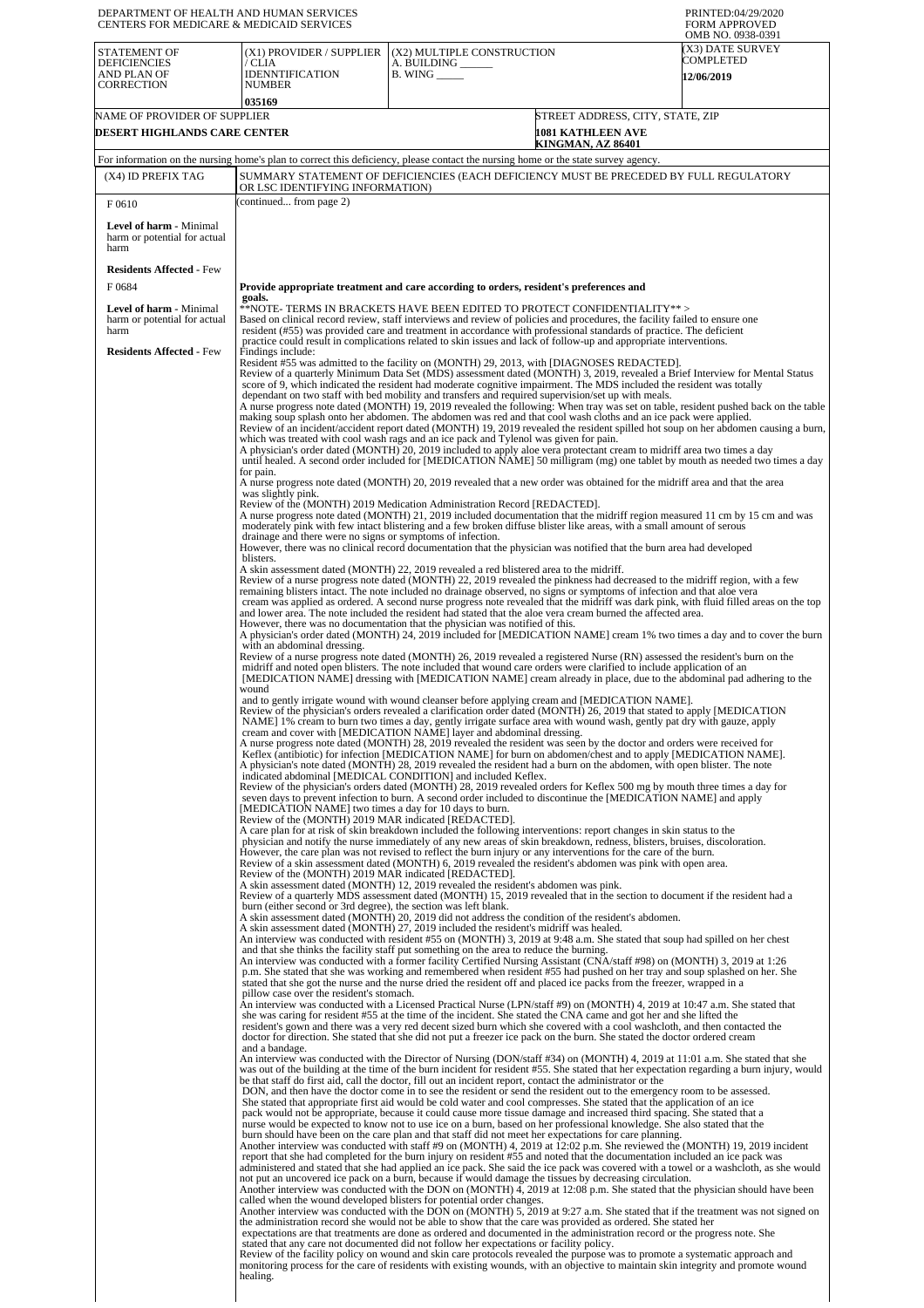| DEPARTMENT OF HEALTH AND HUMAN SERVICES<br><b>CENTERS FOR MEDICARE &amp; MEDICAID SERVICES</b> |                                                                                                                                                                                                                                                                                                                                                                                                                                                                                                                                                                                                                                                                                                                                                                                                                                                                                                                                                                                                                                                                                                                                                                                                                                                                                                                                                                                                                                                                                                                                                                                                                                                                                                                                                                                                                                                                                                                                                                                                                                                                                                                                                                                                                                                                                                                                                                                                                                                                                                                                                                                                                                                                                                                                                                                                                                                                                                                                                                                                                                                                                                                                                                                                                                                                                                                                                                                                                                                                                                                                                                                                                                                                     |                                                                                                                                                                                                                                                                                                                                                                                                                                                                                                                                                                                                                                                                                                                                                                                                                                                                                                                                                                                                                                                                                                                                                    | PRINTED:04/29/2020<br><b>FORM APPROVED</b><br>OMB NO. 0938-0391                                                                                                                                                                                                                                                                                                                                                                                                                                                                                                                                                                                                                                                                                                                                                                                                                                                                                                                                                                                             |
|------------------------------------------------------------------------------------------------|---------------------------------------------------------------------------------------------------------------------------------------------------------------------------------------------------------------------------------------------------------------------------------------------------------------------------------------------------------------------------------------------------------------------------------------------------------------------------------------------------------------------------------------------------------------------------------------------------------------------------------------------------------------------------------------------------------------------------------------------------------------------------------------------------------------------------------------------------------------------------------------------------------------------------------------------------------------------------------------------------------------------------------------------------------------------------------------------------------------------------------------------------------------------------------------------------------------------------------------------------------------------------------------------------------------------------------------------------------------------------------------------------------------------------------------------------------------------------------------------------------------------------------------------------------------------------------------------------------------------------------------------------------------------------------------------------------------------------------------------------------------------------------------------------------------------------------------------------------------------------------------------------------------------------------------------------------------------------------------------------------------------------------------------------------------------------------------------------------------------------------------------------------------------------------------------------------------------------------------------------------------------------------------------------------------------------------------------------------------------------------------------------------------------------------------------------------------------------------------------------------------------------------------------------------------------------------------------------------------------------------------------------------------------------------------------------------------------------------------------------------------------------------------------------------------------------------------------------------------------------------------------------------------------------------------------------------------------------------------------------------------------------------------------------------------------------------------------------------------------------------------------------------------------------------------------------------------------------------------------------------------------------------------------------------------------------------------------------------------------------------------------------------------------------------------------------------------------------------------------------------------------------------------------------------------------------------------------------------------------------------------------------------------------|----------------------------------------------------------------------------------------------------------------------------------------------------------------------------------------------------------------------------------------------------------------------------------------------------------------------------------------------------------------------------------------------------------------------------------------------------------------------------------------------------------------------------------------------------------------------------------------------------------------------------------------------------------------------------------------------------------------------------------------------------------------------------------------------------------------------------------------------------------------------------------------------------------------------------------------------------------------------------------------------------------------------------------------------------------------------------------------------------------------------------------------------------|-------------------------------------------------------------------------------------------------------------------------------------------------------------------------------------------------------------------------------------------------------------------------------------------------------------------------------------------------------------------------------------------------------------------------------------------------------------------------------------------------------------------------------------------------------------------------------------------------------------------------------------------------------------------------------------------------------------------------------------------------------------------------------------------------------------------------------------------------------------------------------------------------------------------------------------------------------------------------------------------------------------------------------------------------------------|
| <b>STATEMENT OF</b><br><b>DEFICIENCIES</b><br>AND PLAN OF<br><b>CORRECTION</b>                 | (X1) PROVIDER / SUPPLIER<br>/ CLIA<br><b>IDENNTIFICATION</b><br><b>NUMBER</b>                                                                                                                                                                                                                                                                                                                                                                                                                                                                                                                                                                                                                                                                                                                                                                                                                                                                                                                                                                                                                                                                                                                                                                                                                                                                                                                                                                                                                                                                                                                                                                                                                                                                                                                                                                                                                                                                                                                                                                                                                                                                                                                                                                                                                                                                                                                                                                                                                                                                                                                                                                                                                                                                                                                                                                                                                                                                                                                                                                                                                                                                                                                                                                                                                                                                                                                                                                                                                                                                                                                                                                                       | (X2) MULTIPLE CONSTRUCTION<br>A. BUILDING<br><b>B. WING</b>                                                                                                                                                                                                                                                                                                                                                                                                                                                                                                                                                                                                                                                                                                                                                                                                                                                                                                                                                                                                                                                                                        | (X3) DATE SURVEY<br><b>COMPLETED</b><br><b>12/06/2019</b>                                                                                                                                                                                                                                                                                                                                                                                                                                                                                                                                                                                                                                                                                                                                                                                                                                                                                                                                                                                                   |
| NAME OF PROVIDER OF SUPPLIER                                                                   | 035169                                                                                                                                                                                                                                                                                                                                                                                                                                                                                                                                                                                                                                                                                                                                                                                                                                                                                                                                                                                                                                                                                                                                                                                                                                                                                                                                                                                                                                                                                                                                                                                                                                                                                                                                                                                                                                                                                                                                                                                                                                                                                                                                                                                                                                                                                                                                                                                                                                                                                                                                                                                                                                                                                                                                                                                                                                                                                                                                                                                                                                                                                                                                                                                                                                                                                                                                                                                                                                                                                                                                                                                                                                                              |                                                                                                                                                                                                                                                                                                                                                                                                                                                                                                                                                                                                                                                                                                                                                                                                                                                                                                                                                                                                                                                                                                                                                    | STREET ADDRESS, CITY, STATE, ZIP                                                                                                                                                                                                                                                                                                                                                                                                                                                                                                                                                                                                                                                                                                                                                                                                                                                                                                                                                                                                                            |
| <b>DESERT HIGHLANDS CARE CENTER</b>                                                            |                                                                                                                                                                                                                                                                                                                                                                                                                                                                                                                                                                                                                                                                                                                                                                                                                                                                                                                                                                                                                                                                                                                                                                                                                                                                                                                                                                                                                                                                                                                                                                                                                                                                                                                                                                                                                                                                                                                                                                                                                                                                                                                                                                                                                                                                                                                                                                                                                                                                                                                                                                                                                                                                                                                                                                                                                                                                                                                                                                                                                                                                                                                                                                                                                                                                                                                                                                                                                                                                                                                                                                                                                                                                     |                                                                                                                                                                                                                                                                                                                                                                                                                                                                                                                                                                                                                                                                                                                                                                                                                                                                                                                                                                                                                                                                                                                                                    | 1081 KATHLEEN AVE                                                                                                                                                                                                                                                                                                                                                                                                                                                                                                                                                                                                                                                                                                                                                                                                                                                                                                                                                                                                                                           |
|                                                                                                |                                                                                                                                                                                                                                                                                                                                                                                                                                                                                                                                                                                                                                                                                                                                                                                                                                                                                                                                                                                                                                                                                                                                                                                                                                                                                                                                                                                                                                                                                                                                                                                                                                                                                                                                                                                                                                                                                                                                                                                                                                                                                                                                                                                                                                                                                                                                                                                                                                                                                                                                                                                                                                                                                                                                                                                                                                                                                                                                                                                                                                                                                                                                                                                                                                                                                                                                                                                                                                                                                                                                                                                                                                                                     | For information on the nursing home's plan to correct this deficiency, please contact the nursing home or the state survey agency.                                                                                                                                                                                                                                                                                                                                                                                                                                                                                                                                                                                                                                                                                                                                                                                                                                                                                                                                                                                                                 | <b>KINGMAN, AZ 86401</b>                                                                                                                                                                                                                                                                                                                                                                                                                                                                                                                                                                                                                                                                                                                                                                                                                                                                                                                                                                                                                                    |
| (X4) ID PREFIX TAG                                                                             |                                                                                                                                                                                                                                                                                                                                                                                                                                                                                                                                                                                                                                                                                                                                                                                                                                                                                                                                                                                                                                                                                                                                                                                                                                                                                                                                                                                                                                                                                                                                                                                                                                                                                                                                                                                                                                                                                                                                                                                                                                                                                                                                                                                                                                                                                                                                                                                                                                                                                                                                                                                                                                                                                                                                                                                                                                                                                                                                                                                                                                                                                                                                                                                                                                                                                                                                                                                                                                                                                                                                                                                                                                                                     |                                                                                                                                                                                                                                                                                                                                                                                                                                                                                                                                                                                                                                                                                                                                                                                                                                                                                                                                                                                                                                                                                                                                                    | SUMMARY STATEMENT OF DEFICIENCIES (EACH DEFICIENCY MUST BE PRECEDED BY FULL REGULATORY                                                                                                                                                                                                                                                                                                                                                                                                                                                                                                                                                                                                                                                                                                                                                                                                                                                                                                                                                                      |
| F0610                                                                                          | OR LSC IDENTIFYING INFORMATION)<br>(continued from page 2)                                                                                                                                                                                                                                                                                                                                                                                                                                                                                                                                                                                                                                                                                                                                                                                                                                                                                                                                                                                                                                                                                                                                                                                                                                                                                                                                                                                                                                                                                                                                                                                                                                                                                                                                                                                                                                                                                                                                                                                                                                                                                                                                                                                                                                                                                                                                                                                                                                                                                                                                                                                                                                                                                                                                                                                                                                                                                                                                                                                                                                                                                                                                                                                                                                                                                                                                                                                                                                                                                                                                                                                                          |                                                                                                                                                                                                                                                                                                                                                                                                                                                                                                                                                                                                                                                                                                                                                                                                                                                                                                                                                                                                                                                                                                                                                    |                                                                                                                                                                                                                                                                                                                                                                                                                                                                                                                                                                                                                                                                                                                                                                                                                                                                                                                                                                                                                                                             |
| Level of harm - Minimal<br>harm or potential for actual<br>harm                                |                                                                                                                                                                                                                                                                                                                                                                                                                                                                                                                                                                                                                                                                                                                                                                                                                                                                                                                                                                                                                                                                                                                                                                                                                                                                                                                                                                                                                                                                                                                                                                                                                                                                                                                                                                                                                                                                                                                                                                                                                                                                                                                                                                                                                                                                                                                                                                                                                                                                                                                                                                                                                                                                                                                                                                                                                                                                                                                                                                                                                                                                                                                                                                                                                                                                                                                                                                                                                                                                                                                                                                                                                                                                     |                                                                                                                                                                                                                                                                                                                                                                                                                                                                                                                                                                                                                                                                                                                                                                                                                                                                                                                                                                                                                                                                                                                                                    |                                                                                                                                                                                                                                                                                                                                                                                                                                                                                                                                                                                                                                                                                                                                                                                                                                                                                                                                                                                                                                                             |
| <b>Residents Affected - Few</b><br>F0684                                                       |                                                                                                                                                                                                                                                                                                                                                                                                                                                                                                                                                                                                                                                                                                                                                                                                                                                                                                                                                                                                                                                                                                                                                                                                                                                                                                                                                                                                                                                                                                                                                                                                                                                                                                                                                                                                                                                                                                                                                                                                                                                                                                                                                                                                                                                                                                                                                                                                                                                                                                                                                                                                                                                                                                                                                                                                                                                                                                                                                                                                                                                                                                                                                                                                                                                                                                                                                                                                                                                                                                                                                                                                                                                                     | Provide appropriate treatment and care according to orders, resident's preferences and                                                                                                                                                                                                                                                                                                                                                                                                                                                                                                                                                                                                                                                                                                                                                                                                                                                                                                                                                                                                                                                             |                                                                                                                                                                                                                                                                                                                                                                                                                                                                                                                                                                                                                                                                                                                                                                                                                                                                                                                                                                                                                                                             |
| Level of harm - Minimal<br>harm or potential for actual<br>harm                                | goals.                                                                                                                                                                                                                                                                                                                                                                                                                                                                                                                                                                                                                                                                                                                                                                                                                                                                                                                                                                                                                                                                                                                                                                                                                                                                                                                                                                                                                                                                                                                                                                                                                                                                                                                                                                                                                                                                                                                                                                                                                                                                                                                                                                                                                                                                                                                                                                                                                                                                                                                                                                                                                                                                                                                                                                                                                                                                                                                                                                                                                                                                                                                                                                                                                                                                                                                                                                                                                                                                                                                                                                                                                                                              | **NOTE- TERMS IN BRACKETS HAVE BEEN EDITED TO PROTECT CONFIDENTIALITY**><br>Based on clinical record review, staff interviews and review of policies and procedures, the facility failed to ensure one<br>resident (#55) was provided care and treatment in accordance with professional standards of practice. The deficient                                                                                                                                                                                                                                                                                                                                                                                                                                                                                                                                                                                                                                                                                                                                                                                                                      |                                                                                                                                                                                                                                                                                                                                                                                                                                                                                                                                                                                                                                                                                                                                                                                                                                                                                                                                                                                                                                                             |
| <b>Residents Affected - Few</b>                                                                | practice could result in complications related to skin issues and lack of follow-up and appropriate interventions.<br>Findings include:<br>Resident #55 was admitted to the facility on (MONTH) 29, 2013, with [DIAGNOSES REDACTED].<br>Review of a quarterly Minimum Data Set (MDS) assessment dated (MONTH) 3, 2019, revealed a Brief Interview for Mental Status<br>score of 9, which indicated the resident had moderate cognitive impairment. The MDS included the resident was totally<br>dependant on two staff with bed mobility and transfers and required supervision/set up with meals.<br>A nurse progress note dated (MONTH) 19, 2019 revealed the following: When tray was set on table, resident pushed back on the table<br>making soup splash onto her abdomen. The abdomen was red and that cool wash cloths and an ice pack were applied.<br>Review of an incident/accident report dated (MONTH) 19, 2019 revealed the resident spilled hot soup on her abdomen causing a burn,<br>which was treated with cool wash rags and an ice pack and Tylenol was given for pain.<br>A physician's order dated (MONTH) 20, 2019 included to apply aloe vera protectant cream to midriff area two times a day<br>until healed. A second order included for [MEDICATION NAME] 50 milligram (mg) one tablet by mouth as needed two times a day<br>for pain.<br>A nurse progress note dated (MONTH) 20, 2019 revealed that a new order was obtained for the midriff area and that the area<br>was slightly pink.<br>Review of the (MONTH) 2019 Medication Administration Record [REDACTED].<br>A nurse progress note dated (MONTH) 21, 2019 included documentation that the midriff region measured 11 cm by 15 cm and was<br>moderately pink with few intact blistering and a few broken diffuse blister like areas, with a small amount of serous<br>drainage and there were no signs or symptoms of infection.<br>However, there was no clinical record documentation that the physician was notified that the burn area had developed<br>blisters.<br>A skin assessment dated (MONTH) 22, 2019 revealed a red blistered area to the midriff.<br>Review of a nurse progress note dated (MONTH) 22, 2019 revealed the pinkness had decreased to the midriff region, with a few<br>remaining blisters intact. The note included no drainage observed, no signs or symptoms of infection and that aloe vera<br>cream was applied as ordered. A second nurse progress note revealed that the midriff was dark pink, with fluid filled areas on the top<br>and lower area. The note included the resident had stated that the aloe vera cream burned the affected area.<br>However, there was no documentation that the physician was notified of this.<br>A physician's order dated (MONTH) 24, 2019 included for [MEDICATION NAME] cream 1% two times a day and to cover the burn<br>with an abdominal dressing.<br>Review of a nurse progress note dated (MONTH) 26, 2019 revealed a registered Nurse (RN) assessed the resident's burn on the<br>midriff and noted open blisters. The note included that wound care orders were clarified to include application of an<br>[MEDICATION NAME] dressing with [MEDICATION NAME] cream already in place, due to the abdominal pad adhering to the<br>wound<br>and to gently irrigate wound with wound cleanser before applying cream and [MEDICATION NAME].<br>Review of the physician's orders revealed a clarification order dated (MONTH) 26, 2019 that stated to apply [MEDICATION<br>NAME] 1% cream to burn two times a day, gently irrigate surface area with wound wash, gently pat dry with gauze, apply |                                                                                                                                                                                                                                                                                                                                                                                                                                                                                                                                                                                                                                                                                                                                                                                                                                                                                                                                                                                                                                                                                                                                                    |                                                                                                                                                                                                                                                                                                                                                                                                                                                                                                                                                                                                                                                                                                                                                                                                                                                                                                                                                                                                                                                             |
|                                                                                                | [MEDICATION NAME] two times a day for 10 days to burn.<br>Review of the (MONTH) 2019 MAR indicated [REDACTED].<br>Review of the (MONTH) 2019 MAR indicated [REDACTED].                                                                                                                                                                                                                                                                                                                                                                                                                                                                                                                                                                                                                                                                                                                                                                                                                                                                                                                                                                                                                                                                                                                                                                                                                                                                                                                                                                                                                                                                                                                                                                                                                                                                                                                                                                                                                                                                                                                                                                                                                                                                                                                                                                                                                                                                                                                                                                                                                                                                                                                                                                                                                                                                                                                                                                                                                                                                                                                                                                                                                                                                                                                                                                                                                                                                                                                                                                                                                                                                                              | cream and cover with [MEDICATION NAME] layer and abdominal dressing.<br>A nurse progress note dated (MONTH) 28, 2019 revealed the resident was seen by the doctor and orders were received for<br>A physician's note dated (MONTH) 28, 2019 revealed the resident had a burn on the abdomen, with open blister. The note<br>indicated abdominal [MEDICAL CONDITION] and included Keflex.<br>seven days to prevent infection to burn. A second order included to discontinue the [MEDICATION NAME] and apply<br>A care plan for at risk of skin breakdown included the following interventions: report changes in skin status to the<br>physician and notify the nurse immediately of any new areas of skin breakdown, redness, blisters, bruises, discoloration.<br>However, the care plan was not revised to reflect the burn injury or any interventions for the care of the burn.<br>Review of a skin assessment dated (MONTH) 6, 2019 revealed the resident's abdomen was pink with open area.                                                                                                                                                 | Keflex (antibiotic) for infection [MEDICATION NAME] for burn on abdomen/chest and to apply [MEDICATION NAME].<br>Review of the physician's orders dated (MONTH) 28, 2019 revealed orders for Keflex 500 mg by mouth three times a day for                                                                                                                                                                                                                                                                                                                                                                                                                                                                                                                                                                                                                                                                                                                                                                                                                   |
|                                                                                                | burn (either second or 3rd degree), the section was left blank.<br>pillow case over the resident's stomach.<br>and a bandage.                                                                                                                                                                                                                                                                                                                                                                                                                                                                                                                                                                                                                                                                                                                                                                                                                                                                                                                                                                                                                                                                                                                                                                                                                                                                                                                                                                                                                                                                                                                                                                                                                                                                                                                                                                                                                                                                                                                                                                                                                                                                                                                                                                                                                                                                                                                                                                                                                                                                                                                                                                                                                                                                                                                                                                                                                                                                                                                                                                                                                                                                                                                                                                                                                                                                                                                                                                                                                                                                                                                                       | A skin assessment dated (MONTH) 12, 2019 revealed the resident's abdomen was pink.<br>A skin assessment dated (MONTH) 20, 2019 did not address the condition of the resident's abdomen.<br>A skin assessment dated (MONTH) 27, 2019 included the resident's midriff was healed.<br>and that she thinks the facility staff put something on the area to reduce the burning.<br>stated that she got the nurse and the nurse dried the resident off and placed ice packs from the freezer, wrapped in a<br>she was caring for resident #55 at the time of the incident. She stated the CNA came and got her and she lifted the<br>doctor for direction. She stated that she did not put a freezer ice pack on the burn. She stated the doctor ordered cream<br>be that staff do first aid, call the doctor, fill out an incident report, contact the administrator or the                                                                                                                                                                                                                                                                             | Review of a quarterly MDS assessment dated (MONTH) 15, 2019 revealed that in the section to document if the resident had a<br>An interview was conducted with resident #55 on (MONTH) 3, 2019 at 9:48 a.m. She stated that soup had spilled on her chest<br>An interview was conducted with a former facility Certified Nursing Assistant (CNA/staff #98) on (MONTH) 3, 2019 at 1:26<br>p.m. She stated that she was working and remembered when resident #55 had pushed on her tray and soup splashed on her. She<br>An interview was conducted with a Licensed Practical Nurse (LPN/staff #9) on (MONTH) 4, 2019 at 10:47 a.m. She stated that<br>resident's gown and there was a very red decent sized burn which she covered with a cool washcloth, and then contacted the<br>An interview was conducted with the Director of Nursing (DON/staff #34) on (MONTH) 4, 2019 at 11:01 a.m. She stated that she<br>was out of the building at the time of the burn incident for resident #55. She stated that her expectation regarding a burn injury, would |
|                                                                                                | healing.                                                                                                                                                                                                                                                                                                                                                                                                                                                                                                                                                                                                                                                                                                                                                                                                                                                                                                                                                                                                                                                                                                                                                                                                                                                                                                                                                                                                                                                                                                                                                                                                                                                                                                                                                                                                                                                                                                                                                                                                                                                                                                                                                                                                                                                                                                                                                                                                                                                                                                                                                                                                                                                                                                                                                                                                                                                                                                                                                                                                                                                                                                                                                                                                                                                                                                                                                                                                                                                                                                                                                                                                                                                            | DON, and then have the doctor come in to see the resident or send the resident out to the emergency room to be assessed.<br>She stated that appropriate first aid would be cold water and cool compresses. She stated that the application of an ice<br>pack would not be appropriate, because it could cause more tissue damage and increased third spacing. She stated that a<br>nurse would be expected to know not to use ice on a burn, based on her professional knowledge. She also stated that the<br>burn should have been on the care plan and that staff did not meet her expectations for care planning.<br>not put an uncovered ice pack on a burn, because if would damage the tissues by decreasing circulation.<br>called when the wound developed blisters for potential order changes.<br>the administration record she would not be able to show that the care was provided as ordered. She stated her<br>expectations are that treatments are done as ordered and documented in the administration record or the progress note. She<br>stated that any care not documented did not follow her expectations or facility policy. | Another interview was conducted with staff #9 on (MONTH) 4, 2019 at 12:02 p.m. She reviewed the (MONTH) 19, 2019 incident<br>report that she had completed for the burn injury on resident #55 and noted that the documentation included an ice pack was<br>administered and stated that she had applied an ice pack. She said the ice pack was covered with a towel or a washcloth, as she would<br>Another interview was conducted with the DON on (MONTH) 4, 2019 at 12:08 p.m. She stated that the physician should have been<br>Another interview was conducted with the DON on (MONTH) 5, 2019 at 9:27 a.m. She stated that if the treatment was not signed on<br>Review of the facility policy on wound and skin care protocols revealed the purpose was to promote a systematic approach and<br>monitoring process for the care of residents with existing wounds, with an objective to maintain skin integrity and promote wound                                                                                                                   |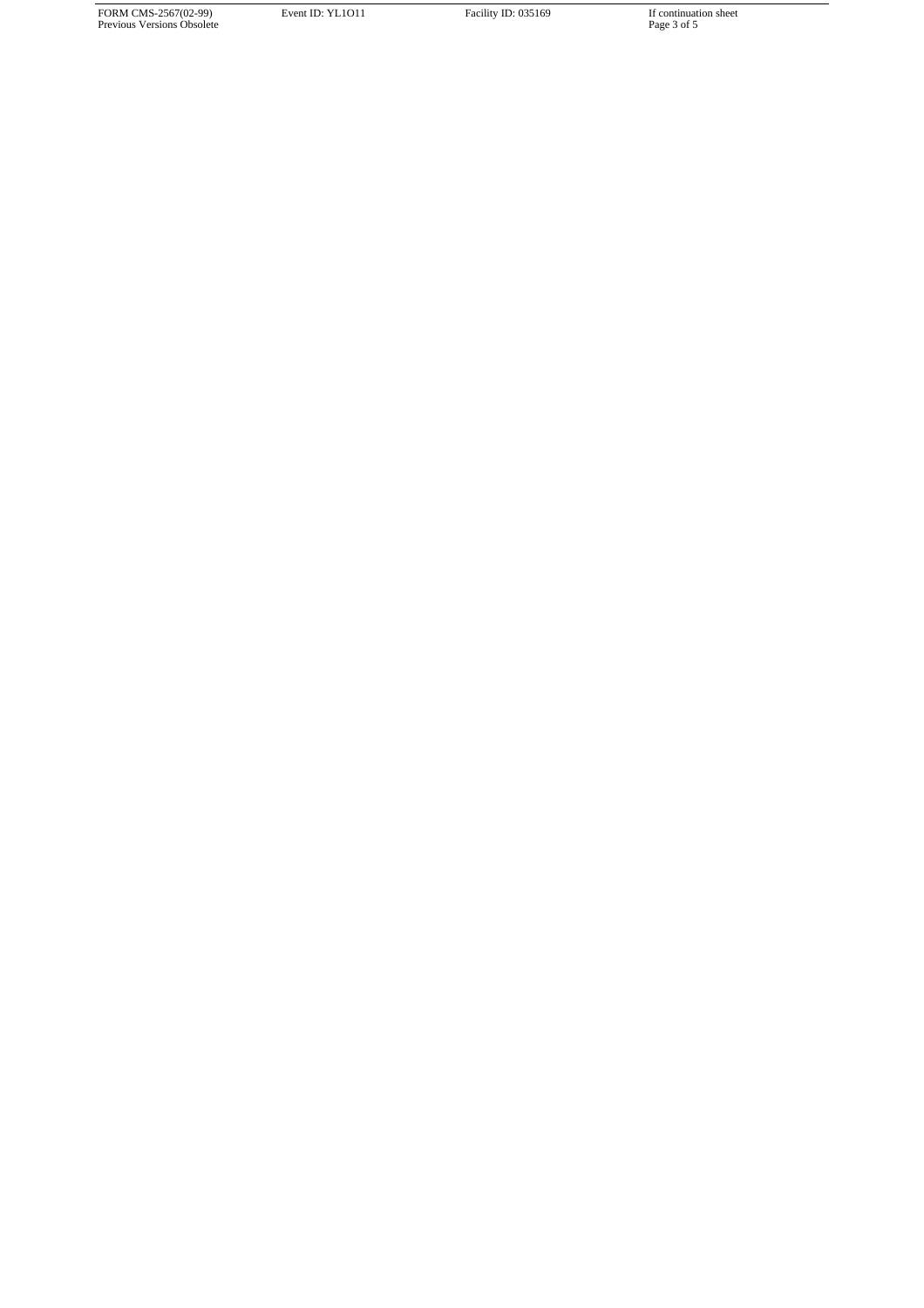FORM CMS-2567(02-99) Previous Versions Obsolete

Event ID: YL1O11 Facility ID: 035169 If continuation sheet<br>Page 3 of 5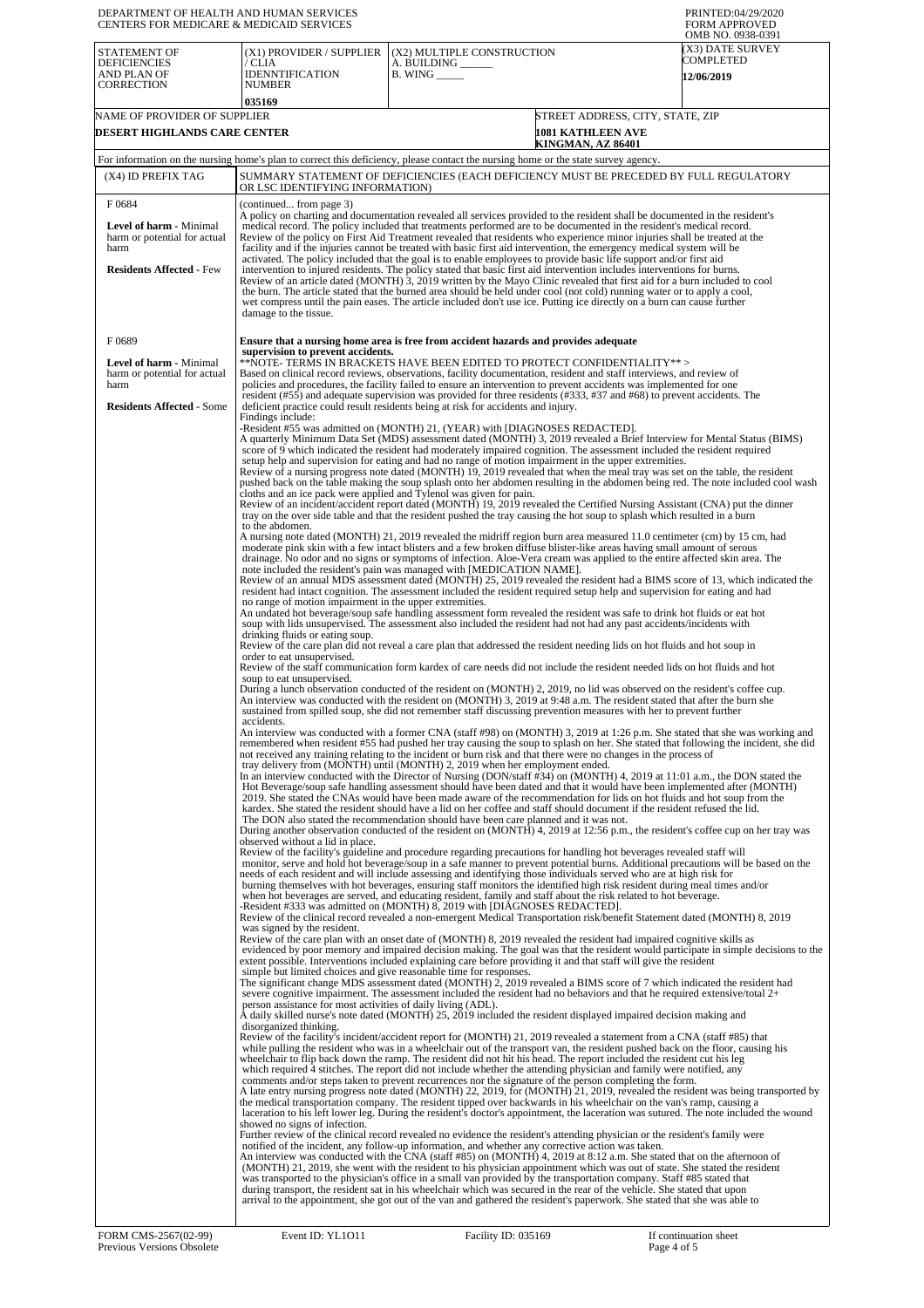| DEPARTMENT OF HEALTH AND HUMAN SERVICES<br>CENTERS FOR MEDICARE & MEDICAID SERVICES                          |                                                                                                                                                                                                                                                                                                                                                                                                                                                                                                                                                                                                                                                                                                                                                                                                                                                                                                                      |                                                                                                                                                                                                                                                                                                                                                                                                                                                                                                                                                                                                                                                                                                                                                                                                                                                                                                                                                                                                                                                                                                                                                                                                                                                                                                                                                                                                                                                                                                                                                                                                                                                                                                                                                                                                                                                                                                                                                                                                                                                                                                                                                                                                                                                                                                                                                                                                                                                                                                                                                                                                                                                                                                                                                                                                                                                                                                                                                                                                                                                                                                                                                                                                                                                                                                                                                                                                                                                                                                                                                                                                                                                                                                                                                                                                                                                                                                                                                                                                                                                                                                                                                                                                                                                                                                                                                                                                                                                                                                                                                                                                                                                                                                                                                                                                                                                                                                                                                                                                                                                                                                                                                                                                                                                                                                                                                                                                                                                                                                                | PRINTED:04/29/2020<br><b>FORM APPROVED</b><br>OMB NO. 0938-0391 |
|--------------------------------------------------------------------------------------------------------------|----------------------------------------------------------------------------------------------------------------------------------------------------------------------------------------------------------------------------------------------------------------------------------------------------------------------------------------------------------------------------------------------------------------------------------------------------------------------------------------------------------------------------------------------------------------------------------------------------------------------------------------------------------------------------------------------------------------------------------------------------------------------------------------------------------------------------------------------------------------------------------------------------------------------|----------------------------------------------------------------------------------------------------------------------------------------------------------------------------------------------------------------------------------------------------------------------------------------------------------------------------------------------------------------------------------------------------------------------------------------------------------------------------------------------------------------------------------------------------------------------------------------------------------------------------------------------------------------------------------------------------------------------------------------------------------------------------------------------------------------------------------------------------------------------------------------------------------------------------------------------------------------------------------------------------------------------------------------------------------------------------------------------------------------------------------------------------------------------------------------------------------------------------------------------------------------------------------------------------------------------------------------------------------------------------------------------------------------------------------------------------------------------------------------------------------------------------------------------------------------------------------------------------------------------------------------------------------------------------------------------------------------------------------------------------------------------------------------------------------------------------------------------------------------------------------------------------------------------------------------------------------------------------------------------------------------------------------------------------------------------------------------------------------------------------------------------------------------------------------------------------------------------------------------------------------------------------------------------------------------------------------------------------------------------------------------------------------------------------------------------------------------------------------------------------------------------------------------------------------------------------------------------------------------------------------------------------------------------------------------------------------------------------------------------------------------------------------------------------------------------------------------------------------------------------------------------------------------------------------------------------------------------------------------------------------------------------------------------------------------------------------------------------------------------------------------------------------------------------------------------------------------------------------------------------------------------------------------------------------------------------------------------------------------------------------------------------------------------------------------------------------------------------------------------------------------------------------------------------------------------------------------------------------------------------------------------------------------------------------------------------------------------------------------------------------------------------------------------------------------------------------------------------------------------------------------------------------------------------------------------------------------------------------------------------------------------------------------------------------------------------------------------------------------------------------------------------------------------------------------------------------------------------------------------------------------------------------------------------------------------------------------------------------------------------------------------------------------------------------------------------------------------------------------------------------------------------------------------------------------------------------------------------------------------------------------------------------------------------------------------------------------------------------------------------------------------------------------------------------------------------------------------------------------------------------------------------------------------------------------------------------------------------------------------------------------------------------------------------------------------------------------------------------------------------------------------------------------------------------------------------------------------------------------------------------------------------------------------------------------------------------------------------------------------------------------------------------------------------------------------------------------------------------------------------------------|-----------------------------------------------------------------|
| <b>STATEMENT OF</b><br><b>DEFICIENCIES</b><br>AND PLAN OF<br><b>CORRECTION</b>                               | (X1) PROVIDER / SUPPLIER<br>/ CLIA<br><b>IDENNTIFICATION</b><br><b>NUMBER</b>                                                                                                                                                                                                                                                                                                                                                                                                                                                                                                                                                                                                                                                                                                                                                                                                                                        | (X2) MULTIPLE CONSTRUCTION<br>A. BUILDING _<br><b>B. WING</b>                                                                                                                                                                                                                                                                                                                                                                                                                                                                                                                                                                                                                                                                                                                                                                                                                                                                                                                                                                                                                                                                                                                                                                                                                                                                                                                                                                                                                                                                                                                                                                                                                                                                                                                                                                                                                                                                                                                                                                                                                                                                                                                                                                                                                                                                                                                                                                                                                                                                                                                                                                                                                                                                                                                                                                                                                                                                                                                                                                                                                                                                                                                                                                                                                                                                                                                                                                                                                                                                                                                                                                                                                                                                                                                                                                                                                                                                                                                                                                                                                                                                                                                                                                                                                                                                                                                                                                                                                                                                                                                                                                                                                                                                                                                                                                                                                                                                                                                                                                                                                                                                                                                                                                                                                                                                                                                                                                                                                                                  | (X3) DATE SURVEY<br>COMPLETED<br><b>12/06/2019</b>              |
| NAME OF PROVIDER OF SUPPLIER                                                                                 | 035169                                                                                                                                                                                                                                                                                                                                                                                                                                                                                                                                                                                                                                                                                                                                                                                                                                                                                                               |                                                                                                                                                                                                                                                                                                                                                                                                                                                                                                                                                                                                                                                                                                                                                                                                                                                                                                                                                                                                                                                                                                                                                                                                                                                                                                                                                                                                                                                                                                                                                                                                                                                                                                                                                                                                                                                                                                                                                                                                                                                                                                                                                                                                                                                                                                                                                                                                                                                                                                                                                                                                                                                                                                                                                                                                                                                                                                                                                                                                                                                                                                                                                                                                                                                                                                                                                                                                                                                                                                                                                                                                                                                                                                                                                                                                                                                                                                                                                                                                                                                                                                                                                                                                                                                                                                                                                                                                                                                                                                                                                                                                                                                                                                                                                                                                                                                                                                                                                                                                                                                                                                                                                                                                                                                                                                                                                                                                                                                                                                                | STREET ADDRESS. CITY. STATE. ZIP                                |
| DESERT HIGHLANDS CARE CENTER                                                                                 |                                                                                                                                                                                                                                                                                                                                                                                                                                                                                                                                                                                                                                                                                                                                                                                                                                                                                                                      | 1081 KATHLEEN AVE<br><b>KINGMAN, AZ 86401</b>                                                                                                                                                                                                                                                                                                                                                                                                                                                                                                                                                                                                                                                                                                                                                                                                                                                                                                                                                                                                                                                                                                                                                                                                                                                                                                                                                                                                                                                                                                                                                                                                                                                                                                                                                                                                                                                                                                                                                                                                                                                                                                                                                                                                                                                                                                                                                                                                                                                                                                                                                                                                                                                                                                                                                                                                                                                                                                                                                                                                                                                                                                                                                                                                                                                                                                                                                                                                                                                                                                                                                                                                                                                                                                                                                                                                                                                                                                                                                                                                                                                                                                                                                                                                                                                                                                                                                                                                                                                                                                                                                                                                                                                                                                                                                                                                                                                                                                                                                                                                                                                                                                                                                                                                                                                                                                                                                                                                                                                                  |                                                                 |
|                                                                                                              |                                                                                                                                                                                                                                                                                                                                                                                                                                                                                                                                                                                                                                                                                                                                                                                                                                                                                                                      | For information on the nursing home's plan to correct this deficiency, please contact the nursing home or the state survey agency.                                                                                                                                                                                                                                                                                                                                                                                                                                                                                                                                                                                                                                                                                                                                                                                                                                                                                                                                                                                                                                                                                                                                                                                                                                                                                                                                                                                                                                                                                                                                                                                                                                                                                                                                                                                                                                                                                                                                                                                                                                                                                                                                                                                                                                                                                                                                                                                                                                                                                                                                                                                                                                                                                                                                                                                                                                                                                                                                                                                                                                                                                                                                                                                                                                                                                                                                                                                                                                                                                                                                                                                                                                                                                                                                                                                                                                                                                                                                                                                                                                                                                                                                                                                                                                                                                                                                                                                                                                                                                                                                                                                                                                                                                                                                                                                                                                                                                                                                                                                                                                                                                                                                                                                                                                                                                                                                                                             |                                                                 |
| (X4) ID PREFIX TAG                                                                                           | OR LSC IDENTIFYING INFORMATION)                                                                                                                                                                                                                                                                                                                                                                                                                                                                                                                                                                                                                                                                                                                                                                                                                                                                                      | SUMMARY STATEMENT OF DEFICIENCIES (EACH DEFICIENCY MUST BE PRECEDED BY FULL REGULATORY                                                                                                                                                                                                                                                                                                                                                                                                                                                                                                                                                                                                                                                                                                                                                                                                                                                                                                                                                                                                                                                                                                                                                                                                                                                                                                                                                                                                                                                                                                                                                                                                                                                                                                                                                                                                                                                                                                                                                                                                                                                                                                                                                                                                                                                                                                                                                                                                                                                                                                                                                                                                                                                                                                                                                                                                                                                                                                                                                                                                                                                                                                                                                                                                                                                                                                                                                                                                                                                                                                                                                                                                                                                                                                                                                                                                                                                                                                                                                                                                                                                                                                                                                                                                                                                                                                                                                                                                                                                                                                                                                                                                                                                                                                                                                                                                                                                                                                                                                                                                                                                                                                                                                                                                                                                                                                                                                                                                                         |                                                                 |
| F0684<br>Level of harm - Minimal<br>harm or potential for actual<br>harm<br><b>Residents Affected - Few</b>  | (continued from page 3)<br>A policy on charting and documentation revealed all services provided to the resident shall be documented in the resident's<br>medical record. The policy included that treatments performed are to be documented in the resident's medical record.<br>Review of the policy on First Aid Treatment revealed that residents who experience minor injuries shall be treated at the<br>facility and if the injuries cannot be treated with basic first aid intervention, the emergency medical system will be<br>activated. The policy included that the goal is to enable employees to provide basic life support and/or first aid<br>intervention to injured residents. The policy stated that basic first aid intervention includes interventions for burns.<br>Review of an article dated (MONTH) 3, 2019 written by the Mayo Clinic revealed that first aid for a burn included to cool |                                                                                                                                                                                                                                                                                                                                                                                                                                                                                                                                                                                                                                                                                                                                                                                                                                                                                                                                                                                                                                                                                                                                                                                                                                                                                                                                                                                                                                                                                                                                                                                                                                                                                                                                                                                                                                                                                                                                                                                                                                                                                                                                                                                                                                                                                                                                                                                                                                                                                                                                                                                                                                                                                                                                                                                                                                                                                                                                                                                                                                                                                                                                                                                                                                                                                                                                                                                                                                                                                                                                                                                                                                                                                                                                                                                                                                                                                                                                                                                                                                                                                                                                                                                                                                                                                                                                                                                                                                                                                                                                                                                                                                                                                                                                                                                                                                                                                                                                                                                                                                                                                                                                                                                                                                                                                                                                                                                                                                                                                                                |                                                                 |
| F0689<br>Level of harm - Minimal<br>harm or potential for actual<br>harm<br><b>Residents Affected - Some</b> | damage to the tissue.<br>supervision to prevent accidents.<br>Findings include:<br>to the abdomen.<br>no range of motion impairment in the upper extremities.<br>drinking fluids or eating soup.<br>order to eat unsupervised.<br>soup to eat unsupervised.<br>accidents.<br>observed without a lid in place.                                                                                                                                                                                                                                                                                                                                                                                                                                                                                                                                                                                                        | the burn. The article stated that the burned area should be held under cool (not cold) running water or to apply a cool,<br>wet compress until the pain eases. The article included don't use ice. Putting ice directly on a burn can cause further<br>Ensure that a nursing home area is free from accident hazards and provides adequate<br>**NOTE- TERMS IN BRACKETS HAVE BEEN EDITED TO PROTECT CONFIDENTIALITY**><br>Based on clinical record reviews, observations, facility documentation, resident and staff interviews, and review of<br>policies and procedures, the facility failed to ensure an intervention to prevent accidents was implemented for one<br>resident (#55) and adequate supervision was provided for three residents (#333, #37 and #68) to prevent accidents. The<br>deficient practice could result residents being at risk for accidents and injury.<br>-Resident #55 was admitted on (MONTH) 21, (YEAR) with [DIAGNOSES REDACTED].<br>A quarterly Minimum Data Set (MDS) assessment dated (MONTH) 3, 2019 revealed a Brief Interview for Mental Status (BIMS)<br>score of 9 which indicated the resident had moderately impaired cognition. The assessment included the resident required<br>setup help and supervision for eating and had no range of motion impairment in the upper extremities.<br>Review of a nursing progress note dated (MONTH) 19, 2019 revealed that when the meal tray was set on the table, the resident<br>pushed back on the table making the soup splash onto her abdomen resulting in the abdomen being red. The note included cool wash<br>cloths and an ice pack were applied and Tylenol was given for pain.<br>Review of an incident/accident report dated (MONTH) 19, 2019 revealed the Certified Nursing Assistant (CNA) put the dinner<br>tray on the over side table and that the resident pushed the tray causing the hot soup to splash which resulted in a burn<br>A nursing note dated (MONTH) 21, 2019 revealed the midriff region burn area measured 11.0 centimeter (cm) by 15 cm, had<br>moderate pink skin with a few intact blisters and a few broken diffuse blister-like areas having small amount of serous<br>drainage. No odor and no signs or symptoms of infection. Aloe-Vera cream was applied to the entire affected skin area. The<br>note included the resident's pain was managed with [MEDICATION NAME].<br>Review of an annual MDS assessment dated (MONTH) 25, 2019 revealed the resident had a BIMS score of 13, which indicated the<br>resident had intact cognition. The assessment included the resident required setup help and supervision for eating and had<br>An undated hot beverage/soup safe handling assessment form revealed the resident was safe to drink hot fluids or eat hot<br>soup with lids unsupervised. The assessment also included the resident had not had any past accidents/incidents with<br>Review of the care plan did not reveal a care plan that addressed the resident needing lids on hot fluids and hot soup in<br>Review of the staff communication form kardex of care needs did not include the resident needed lids on hot fluids and hot<br>During a lunch observation conducted of the resident on (MONTH) 2, 2019, no lid was observed on the resident's coffee cup.<br>An interview was conducted with the resident on (MONTH) 3, 2019 at 9:48 a.m. The resident stated that after the burn she<br>sustained from spilled soup, she did not remember staff discussing prevention measures with her to prevent further<br>An interview was conducted with a former CNA (staff #98) on (MONTH) 3, 2019 at 1:26 p.m. She stated that she was working and<br>remembered when resident #55 had pushed her tray causing the soup to splash on her. She stated that following the incident, she did<br>not received any training relating to the incident or burn risk and that there were no changes in the process of<br>tray delivery from (MONTH) until (MONTH) 2, 2019 when her employment ended.<br>In an interview conducted with the Director of Nursing (DON/staff #34) on (MONTH) 4, 2019 at 11:01 a.m., the DON stated the<br>Hot Beverage/soup safe handling assessment should have been dated and that it would have been implemented after (MONTH)<br>2019. She stated the CNAs would have been made aware of the recommendation for lids on hot fluids and hot soup from the<br>kardex. She stated the resident should have a lid on her coffee and staff should document if the resident refused the lid.<br>The DON also stated the recommendation should have been care planned and it was not.<br>During another observation conducted of the resident on (MONTH) 4, 2019 at 12:56 p.m., the resident's coffee cup on her tray was<br>Review of the facility's guideline and procedure regarding precautions for handling hot beverages revealed staff will<br>monitor, serve and hold hot beverage/soup in a safe manner to prevent potential burns. Additional precautions will be based on the<br>needs of each resident and will include assessing and identifying those individuals served who are at high risk for<br>burning themselves with hot beverages, ensuring staff monitors the identified high risk resident during meal times and/or<br>when hot beverages are served, and educating resident, family and staff about the risk related to hot beverage.<br>-Resident #333 was admitted on (MONTH) 8, 2019 with [DIAGNOSES REDACTED]. |                                                                 |
|                                                                                                              | was signed by the resident.<br>simple but limited choices and give reasonable time for responses.<br>person assistance for most activities of daily living (ADL).<br>disorganized thinking.                                                                                                                                                                                                                                                                                                                                                                                                                                                                                                                                                                                                                                                                                                                          | Review of the clinical record revealed a non-emergent Medical Transportation risk/benefit Statement dated (MONTH) 8, 2019<br>Review of the care plan with an onset date of (MONTH) 8, 2019 revealed the resident had impaired cognitive skills as<br>evidenced by poor memory and impaired decision making. The goal was that the resident would participate in simple decisions to the<br>extent possible. Interventions included explaining care before providing it and that staff will give the resident<br>The significant change MDS assessment dated (MONTH) 2, 2019 revealed a BIMS score of 7 which indicated the resident had<br>severe cognitive impairment. The assessment included the resident had no behaviors and that he required extensive/total 2+<br>A daily skilled nurse's note dated (MONTH) 25, 2019 included the resident displayed impaired decision making and<br>Review of the facility's incident/accident report for (MONTH) 21, 2019 revealed a statement from a CNA (staff #85) that                                                                                                                                                                                                                                                                                                                                                                                                                                                                                                                                                                                                                                                                                                                                                                                                                                                                                                                                                                                                                                                                                                                                                                                                                                                                                                                                                                                                                                                                                                                                                                                                                                                                                                                                                                                                                                                                                                                                                                                                                                                                                                                                                                                                                                                                                                                                                                                                                                                                                                                                                                                                                                                                                                                                                                                                                                                                                                                                                                                                                                                                                                                                                                                                                                                                                                                                                                                                                                                                                                                                                                                                                                                                                                                                                                                                                                                                                                                                                                                                                                                                                                                                                                                                                                                                                                                                                                                                                                                                                           |                                                                 |
|                                                                                                              | showed no signs of infection.                                                                                                                                                                                                                                                                                                                                                                                                                                                                                                                                                                                                                                                                                                                                                                                                                                                                                        | while pulling the resident who was in a wheelchair out of the transport van, the resident pushed back on the floor, causing his<br>wheelchair to flip back down the ramp. The resident did not hit his head. The report included the resident cut his leg<br>which required 4 stitches. The report did not include whether the attending physician and family were notified, any<br>comments and/or steps taken to prevent recurrences nor the signature of the person completing the form.<br>A late entry nursing progress note dated (MONTH) 22, 2019, for (MONTH) 21, 2019, revealed the resident was being transported by<br>the medical transportation company. The resident tipped over backwards in his wheelchair on the van's ramp, causing a<br>laceration to his left lower leg. During the resident's doctor's appointment, the laceration was sutured. The note included the wound<br>Further review of the clinical record revealed no evidence the resident's attending physician or the resident's family were<br>notified of the incident, any follow-up information, and whether any corrective action was taken.<br>An interview was conducted with the CNA (staff #85) on (MONTH) 4, 2019 at 8:12 a.m. She stated that on the afternoon of<br>(MONTH) 21, 2019, she went with the resident to his physician appointment which was out of state. She stated the resident<br>was transported to the physician's office in a small van provided by the transportation company. Staff #85 stated that<br>during transport, the resident sat in his wheelchair which was secured in the rear of the vehicle. She stated that upon<br>arrival to the appointment, she got out of the van and gathered the resident's paperwork. She stated that she was able to                                                                                                                                                                                                                                                                                                                                                                                                                                                                                                                                                                                                                                                                                                                                                                                                                                                                                                                                                                                                                                                                                                                                                                                                                                                                                                                                                                                                                                                                                                                                                                                                                                                                                                                                                                                                                                                                                                                                                                                                                                                                                                                                                                                                                                                                                                                                                                                                                                                                                                                                                                                                                                                                                                                                                                                                                                                                                                                                                                                                                                                                                                                                                                                                                                                                                                                                                                                                                                                                                                                                                                                                                                                                                                                                 |                                                                 |
| FORM CMS-2567(02-99)                                                                                         | Event ID: YL1011                                                                                                                                                                                                                                                                                                                                                                                                                                                                                                                                                                                                                                                                                                                                                                                                                                                                                                     | Facility ID: 035169                                                                                                                                                                                                                                                                                                                                                                                                                                                                                                                                                                                                                                                                                                                                                                                                                                                                                                                                                                                                                                                                                                                                                                                                                                                                                                                                                                                                                                                                                                                                                                                                                                                                                                                                                                                                                                                                                                                                                                                                                                                                                                                                                                                                                                                                                                                                                                                                                                                                                                                                                                                                                                                                                                                                                                                                                                                                                                                                                                                                                                                                                                                                                                                                                                                                                                                                                                                                                                                                                                                                                                                                                                                                                                                                                                                                                                                                                                                                                                                                                                                                                                                                                                                                                                                                                                                                                                                                                                                                                                                                                                                                                                                                                                                                                                                                                                                                                                                                                                                                                                                                                                                                                                                                                                                                                                                                                                                                                                                                                            | If continuation sheet                                           |